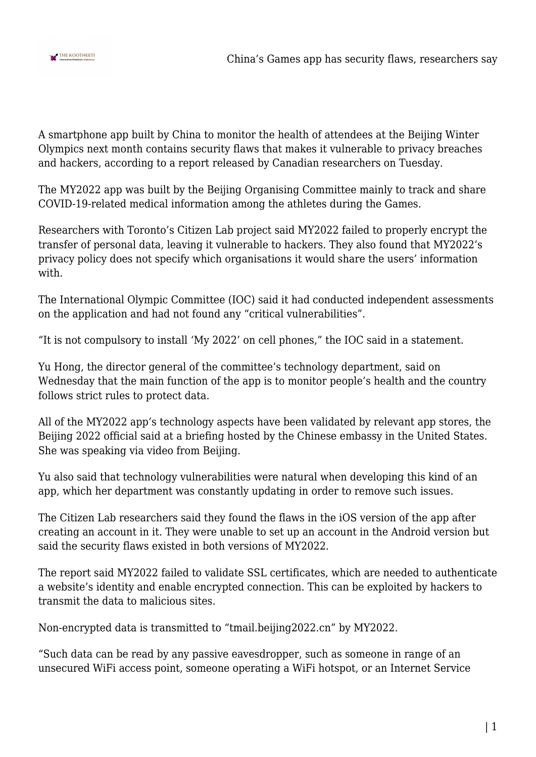

A smartphone app built by China to monitor the health of attendees at the Beijing Winter Olympics next month contains security flaws that makes it vulnerable to privacy breaches and hackers, according to a report released by Canadian researchers on Tuesday.

The MY2022 app was built by the Beijing Organising Committee mainly to track and share COVID-19-related medical information among the athletes during the Games.

Researchers with Toronto's Citizen Lab project said MY2022 failed to properly encrypt the transfer of personal data, leaving it vulnerable to hackers. They also found that MY2022's privacy policy does not specify which organisations it would share the users' information with.

The International Olympic Committee (IOC) said it had conducted independent assessments on the application and had not found any "critical vulnerabilities".

"It is not compulsory to install 'My 2022' on cell phones," the IOC said in a statement.

Yu Hong, the director general of the committee's technology department, said on Wednesday that the main function of the app is to monitor people's health and the country follows strict rules to protect data.

All of the MY2022 app's technology aspects have been validated by relevant app stores, the Beijing 2022 official said at a briefing hosted by the Chinese embassy in the United States. She was speaking via video from Beijing.

Yu also said that technology vulnerabilities were natural when developing this kind of an app, which her department was constantly updating in order to remove such issues.

The Citizen Lab researchers said they found the flaws in the iOS version of the app after creating an account in it. They were unable to set up an account in the Android version but said the security flaws existed in both versions of MY2022.

The report said MY2022 failed to validate SSL certificates, which are needed to authenticate a website's identity and enable encrypted connection. This can be exploited by hackers to transmit the data to malicious sites.

Non-encrypted data is transmitted to "tmail.beijing2022.cn" by MY2022.

"Such data can be read by any passive eavesdropper, such as someone in range of an unsecured WiFi access point, someone operating a WiFi hotspot, or an Internet Service